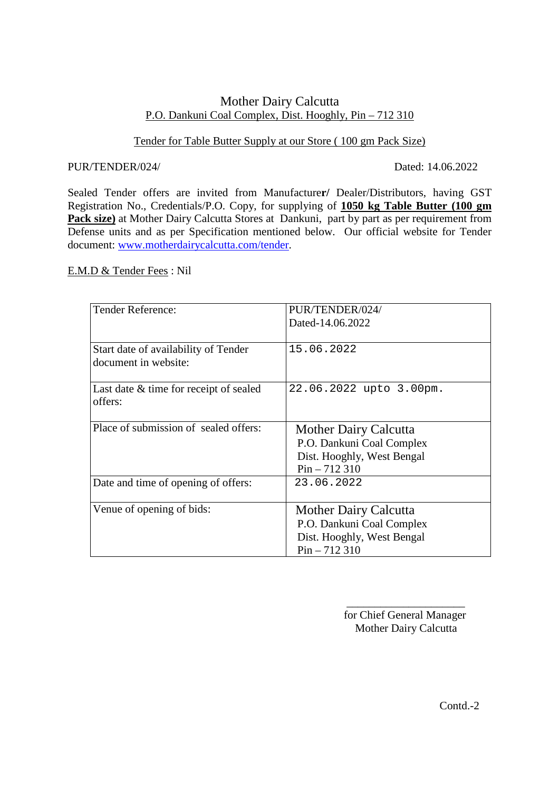# Mother Dairy Calcutta P.O. Dankuni Coal Complex, Dist. Hooghly, Pin – 712 310

# Tender for Table Butter Supply at our Store ( 100 gm Pack Size)

#### PUR/TENDER/024/ Dated: 14.06.2022

Sealed Tender offers are invited from Manufacture**r/** Dealer/Distributors, having GST Registration No., Credentials/P.O. Copy, for supplying of **1050 kg Table Butter (100 gm** Pack size) at Mother Dairy Calcutta Stores at Dankuni, part by part as per requirement from Defense units and as per Specification mentioned below. Our official website for Tender document: www.motherdairycalcutta.com/tender.

## E.M.D & Tender Fees : Nil

| <b>Tender Reference:</b>                                     | PUR/TENDER/024/<br>Dated-14.06.2022                                                                       |
|--------------------------------------------------------------|-----------------------------------------------------------------------------------------------------------|
| Start date of availability of Tender<br>document in website: | 15.06.2022                                                                                                |
| Last date & time for receipt of sealed<br>offers:            | 22.06.2022 upto 3.00pm.                                                                                   |
| Place of submission of sealed offers:                        | <b>Mother Dairy Calcutta</b><br>P.O. Dankuni Coal Complex<br>Dist. Hooghly, West Bengal<br>$Pin - 712310$ |
| Date and time of opening of offers:                          | 23.06.2022                                                                                                |
| Venue of opening of bids:                                    | <b>Mother Dairy Calcutta</b><br>P.O. Dankuni Coal Complex<br>Dist. Hooghly, West Bengal<br>$Pin - 712310$ |

 $\mathcal{L}_\text{max}$  , which is a set of the set of the set of the set of the set of the set of the set of the set of the set of the set of the set of the set of the set of the set of the set of the set of the set of the set of

 for Chief General Manager Mother Dairy Calcutta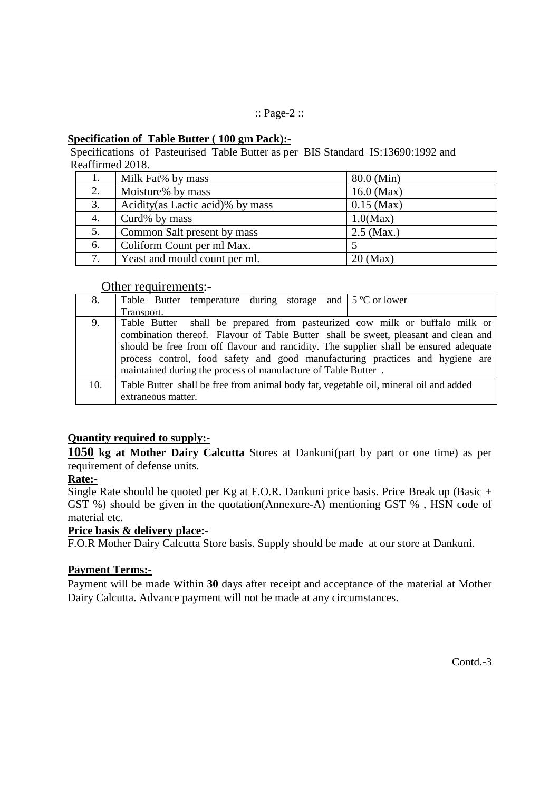## :: Page-2 ::

## **Specification of Table Butter ( 100 gm Pack):-**

Specifications of Pasteurised Table Butter as per BIS Standard IS:13690:1992 and Reaffirmed 2018.

| 1. | Milk Fat% by mass                 | 80.0 (Min)   |
|----|-----------------------------------|--------------|
| 2. | Moisture% by mass                 | $16.0$ (Max) |
| 3. | Acidity (as Lactic acid)% by mass | $0.15$ (Max) |
| 4. | Curd% by mass                     | $1.0$ (Max)  |
| 5. | Common Salt present by mass       | $2.5$ (Max.) |
| 6. | Coliform Count per ml Max.        |              |
| 7. | Yeast and mould count per ml.     | $20$ (Max)   |

# Other requirements:-

| 8.  | Table Butter temperature during storage and $\frac{1}{2}$ 5 °C or lower               |  |  |
|-----|---------------------------------------------------------------------------------------|--|--|
|     | Transport.                                                                            |  |  |
| 9.  | Table Butter shall be prepared from pasteurized cow milk or buffalo milk or           |  |  |
|     | combination thereof. Flavour of Table Butter shall be sweet, pleasant and clean and   |  |  |
|     | should be free from off flavour and rancidity. The supplier shall be ensured adequate |  |  |
|     | process control, food safety and good manufacturing practices and hygiene are         |  |  |
|     | maintained during the process of manufacture of Table Butter.                         |  |  |
| 10. | Table Butter shall be free from animal body fat, vegetable oil, mineral oil and added |  |  |
|     | extraneous matter.                                                                    |  |  |
|     |                                                                                       |  |  |

# **Quantity required to supply:-**

**1050 kg at Mother Dairy Calcutta** Stores at Dankuni(part by part or one time) as per requirement of defense units.

# **Rate:-**

Single Rate should be quoted per Kg at F.O.R. Dankuni price basis. Price Break up (Basic + GST %) should be given in the quotation(Annexure-A) mentioning GST % , HSN code of material etc.

# **Price basis & delivery place:-**

F.O.R Mother Dairy Calcutta Store basis. Supply should be made at our store at Dankuni.

# **Payment Terms:-**

Payment will be made within **30** days after receipt and acceptance of the material at Mother Dairy Calcutta. Advance payment will not be made at any circumstances.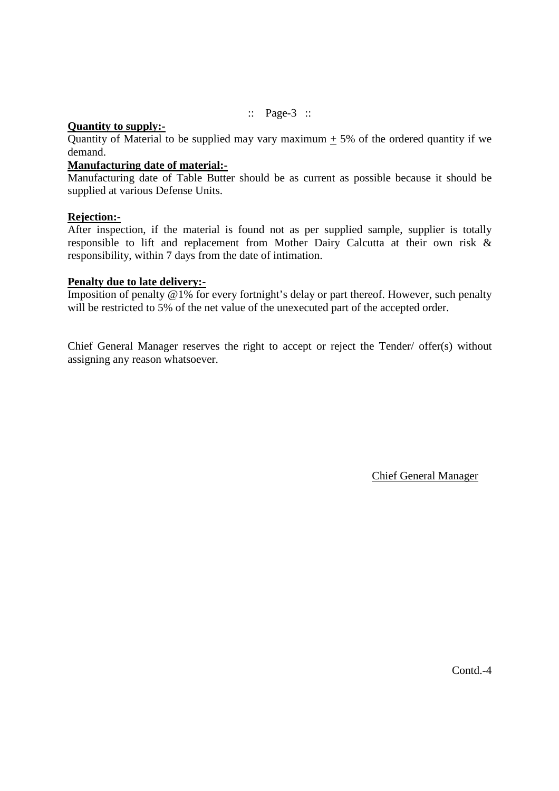:: Page-3 ::

### **Quantity to supply:-**

Quantity of Material to be supplied may vary maximum  $+ 5\%$  of the ordered quantity if we demand.

# **Manufacturing date of material:-**

Manufacturing date of Table Butter should be as current as possible because it should be supplied at various Defense Units.

### **Rejection:-**

After inspection, if the material is found not as per supplied sample, supplier is totally responsible to lift and replacement from Mother Dairy Calcutta at their own risk & responsibility, within 7 days from the date of intimation.

### **Penalty due to late delivery:-**

Imposition of penalty  $@1\%$  for every fortnight's delay or part thereof. However, such penalty will be restricted to 5% of the net value of the unexecuted part of the accepted order.

Chief General Manager reserves the right to accept or reject the Tender/ offer(s) without assigning any reason whatsoever.

Chief General Manager